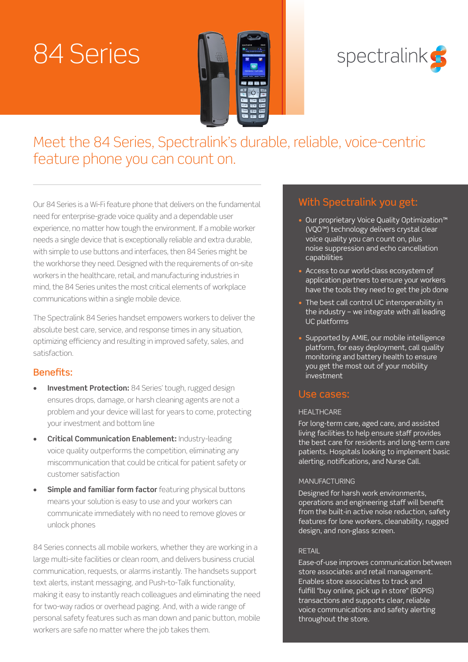# 84 Series





Meet the 84 Series, Spectralink's durable, reliable, voice-centric feature phone you can count on.

Our 84 Series is a Wi-Fi feature phone that delivers on the fundamental need for enterprise-grade voice quality and a dependable user experience, no matter how tough the environment. If a mobile worker needs a single device that is exceptionally reliable and extra durable, with simple to use buttons and interfaces, then 84 Series might be the workhorse they need. Designed with the requirements of on-site workers in the healthcare, retail, and manufacturing industries in mind, the 84 Series unites the most critical elements of workplace communications within a single mobile device.

The Spectralink 84 Series handset empowers workers to deliver the absolute best care, service, and response times in any situation, optimizing efficiency and resulting in improved safety, sales, and satisfaction.

### Benefits:

- **• Investment Protection:** 84 Series' tough, rugged design ensures drops, damage, or harsh cleaning agents are not a problem and your device will last for years to come, protecting your investment and bottom line
- **• Critical Communication Enablement:** Industry-leading voice quality outperforms the competition, eliminating any miscommunication that could be critical for patient safety or customer satisfaction
- **• Simple and familiar form factor** featuring physical buttons means your solution is easy to use and your workers can communicate immediately with no need to remove gloves or unlock phones

84 Series connects all mobile workers, whether they are working in a large multi-site facilities or clean room, and delivers business crucial communication, requests, or alarms instantly. The handsets support text alerts, instant messaging, and Push-to-Talk functionality, making it easy to instantly reach colleagues and eliminating the need for two-way radios or overhead paging. And, with a wide range of personal safety features such as man down and panic button, mobile workers are safe no matter where the job takes them.

## With Spectralink you get:

- Our proprietary Voice Quality Optimization™ (VQO™) technology delivers crystal clear voice quality you can count on, plus noise suppression and echo cancellation capabilities
- Access to our world-class ecosystem of application partners to ensure your workers have the tools they need to get the job done
- The best call control UC interoperability in the industry – we integrate with all leading UC platforms
- Supported by AMIE, our mobile intelligence platform, for easy deployment, call quality monitoring and battery health to ensure you get the most out of your mobility investment

## Use cases:

#### **HEALTHCARE**

For long-term care, aged care, and assisted living facilities to help ensure staff provides the best care for residents and long-term care patients. Hospitals looking to implement basic alerting, notifications, and Nurse Call.

#### MANUFACTURING

Designed for harsh work environments, operations and engineering staff will benefit from the built-in active noise reduction, safety features for lone workers, cleanability, rugged design, and non-glass screen.

#### RETAIL

Ease-of-use improves communication between store associates and retail management. Enables store associates to track and fulfill "buy online, pick up in store" (BOPIS) transactions and supports clear, reliable voice communications and safety alerting throughout the store.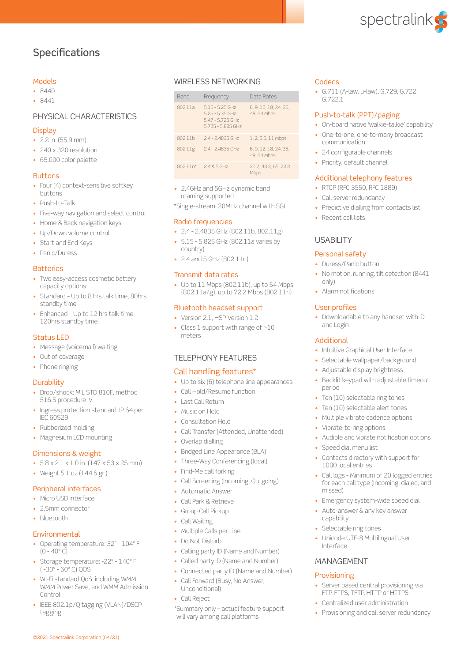

## **Specifications**

#### Models

- 8440
- 8441

#### PHYSICAL CHARACTERISTICS

#### **Display**

- 2.2 in. (55.9 mm)
- 240 x 320 resolution
- 65,000 color palette

#### **Buttons**

- Four (4) context-sensitive softkey buttons
- Push-to-Talk
- Five-way navigation and select control
- Home & Back navigation keys
- Up/Down volume control
- Start and End Keys
- Panic/Duress

#### **Batteries**

- Two easy-access cosmetic battery capacity options:
- Standard Up to 8 hrs talk time, 80hrs standby time
- Enhanced Up to 12 hrs talk time, 120hrs standby time

#### Status LED

- Message (voicemail) waiting
- Out of coverage
- Phone ringing

#### **Durability**

- Drop/shock: MIL STD 810F, method 516.5 procedure IV
- Ingress protection standard: IP 64 per IEC 60529
- Rubberized molding
- Magnesium LCD mounting

#### Dimensions & weight

- $\cdot$  5.8 x 2.1 x 1.0 in. (147 x 53 x 25 mm)
- Weight 5.1 oz (144.6 gr.)

#### Peripheral interfaces

- Micro USB interface
- 2.5mm connector
- Bluetooth

#### **Environmental**

- Operating temperature: 32º 104º F  $(0 - 40^{\circ} C)$
- Storage temperature: -22º 140º F ( -30º - 60º C) QOS
- Wi-Fi standard QoS; including WMM, WMM Power Save, and WMM Admission Control
- IEEE 802.1p/Q tagging (VLAN)/DSCP tagging

©2021 Spectralink Corporation (04/21)

#### WIRELESS NETWORKING

| Band       | Frequency                                                                         | Data Rates                           |
|------------|-----------------------------------------------------------------------------------|--------------------------------------|
| 802.11a    | $5.15 - 5.25$ GHz<br>$5.25 - 5.35$ GHz<br>5.47 - 5.725 GHz<br>$5.725 - 5.825$ GHz | 6, 9, 12, 18, 24, 36,<br>48, 54 Mbps |
| 802.11b    | $2.4 - 2.4835$ GHz                                                                | 1, 2, 5.5, 11 Mbps                   |
| 802.11g    | $2.4 - 2.4835$ GHz                                                                | 6.9.12.18.24.36.<br>48, 54 Mbps      |
| $802.11n*$ | $2.485$ GHz                                                                       | 21.7.43.3.65.72.2<br>Mbps            |

• 2.4GHz and 5GHz dynamic band roaming supported

\*Single-stream, 20MHz channel with SGI

#### Radio frequencies

- 2.4 2.4835 GHz (802.11b, 802.11g)
- 5.15 5.825 GHz (802.11a varies by country)
- 2.4 and 5 GHz (802.11n)

#### Transmit data rates

• Up to 11 Mbps (802.11b), up to 54 Mbps (802.11a/g), up to 72.2 Mbps (802.11n)

#### Bluetooth headset support

- Version 2.1, HSP Version 1.2
- Class 1 support with range of ~10 meters

#### TELEPHONY FEATURES

#### Call handling features\*

- Up to six (6) telephone line appearances
- Call Hold/Resume function
- Last Call Return
- Music on Hold
- Consultation Hold
- Call Transfer (Attended, Unattended)
- Overlap dialling
- Bridged Line Appearance (BLA)
- Three-Way Conferencing (local)
- Find-Me call forking
- Call Screening (Incoming, Outgoing)
- Automatic Answer
- Call Park & Retrieve
- Group Call Pickup
- Call Waiting
- Multiple Calls per Line
- Do Not Disturb
- Calling party ID (Name and Number)
- Called party ID (Name and Number)
- Connected party ID (Name and Number)
- Call Forward (Busy, No Answer, Unconditional)
- Call Reject

\*Summary only – actual feature support will vary among call platforms

#### **Codecs**

• G.711 (A-law, u-law), G.729, G.722, G.722.1

#### Push-to-talk (PPT)/paging

- On-board native 'walkie-talkie' capability
- One-to-one, one-to-many broadcast communication
- 24 configurable channels
- Priority, default channel

#### Additional telephony features

- RTCP (RFC 3550, RFC 1889)
- Call server redundancy
- Predictive dialling from contacts list
- Recent call lists

#### USABILITY

#### Personal safety

- Duress/Panic button
- No motion, running, tilt detection (8441) only)
- Alarm notifications

#### User profiles

Additional

period

• Downloadable to any handset with ID and Login

• Intuitive Graphical User Interface • Selectable wallpaper/background • Adjustable display brightness • Backlit keypad with adjustable timeout

• Ten (10) selectable ring tones • Ten (10) selectable alert tones • Multiple vibrate cadence options

• Audible and vibrate notification options

• Call logs - Minimum of 20 logged entries for each call type (Incoming, dialed, and

• Contacts directory with support for

• Emergency system-wide speed dial • Auto-answer & any key answer

• Unicode UTF-8 Multilingual User

• Server based central provisioning via FTP, FTPS, TFTP, HTTP or HTTPS • Centralized user administration • Provisioning and call server redundancy

• Vibrate-to-ring options

• Speed dial menu list

1000 local entries

• Selectable ring tones

missed)

capability

Interface

Provisioning

MANAGEMENT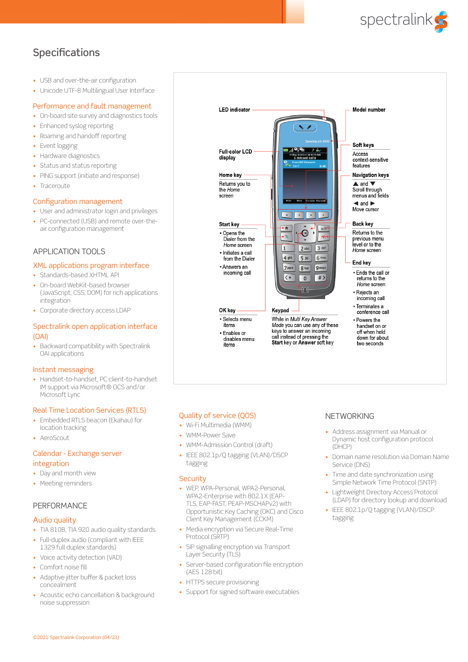

## **Specifications**

- USB and over-the-air configuration
- Unicode UTF-8 Multilingual User Interface

#### Performance and fault management

- On-board site survey and diagnostics tools
- Enhanced syslog reporting
- Roaming and handoff reporting
- Event logging
- Hardware diagnostics
- Status and status reporting
- PING support (initiate and response)
- Traceroute

#### Configuration management

- User and administrator login and privileges
- PC-connected (USB) and remote over-theair configuration management

#### APPLICATION TOOLS

#### XML applications program interface

- Standards-based XHTML API
- On-board WebKit-based browser (JavaScript, CSS, DOM) for rich applications integration
- Corporate directory access LDAP

#### Spectralink open application interface (OAI)

• Backward compatibility with Spectralink OAI applications

#### Instant messaging

• Handset-to-handset, PC client-to-handset IM support via Microsoft® OCS and/or Microsoft Lync

#### Real Time Location Services (RTLS)

- Embedded RTLS beacon (Ekahau) for location tracking
- AeroScout

#### Calendar - Exchange server integration

- Day and month view
- Meeting reminders

#### **PERFORMANCE**

#### Audio quality

- TIA 810B, TIA 920 audio quality standards
- Full-duplex audio (compliant with IEEE 1329 full duplex standards)
- Voice activity detection (VAD)
- Comfort noise fill
- Adaptive jitter buffer & packet loss concealment
- Acoustic echo cancellation & background noise suppression



#### Quality of service (QOS)

- Wi-Fi Multimedia (WMM)
- WMM-Power Save
- WMM-Admission Control (draft)
- IEEE 802.1p/Q tagging (VLAN)/DSCP tagging

#### **Security**

- WEP, WPA-Personal, WPA2-Personal, WPA2-Enterprise with 802.1X (EAP-TLS, EAP-FAST, PEAP-MSCHAPv2) with Opportunistic Key Caching (OKC) and Cisco Client Key Management (CCKM)
- Media encryption via Secure Real-Time Protocol (SRTP)
- SIP signalling encryption via Transport Layer Security (TLS)
- Server-based configuration file encryption (AES 128 bit)
- HTTPS secure provisioning
- Support for signed software executables

#### **NETWORKING**

- Address assignment via Manual or Dynamic host configuration protocol (DHCP)
- Domain name resolution via Domain Name Service (DNS)
- Time and date synchronization using Simple Network Time Protocol (SNTP)
- Lightweight Directory Access Protocol (LDAP) for directory lookup and download
- IEEE 802.1p/Q tagging (VLAN)/DSCP tagging